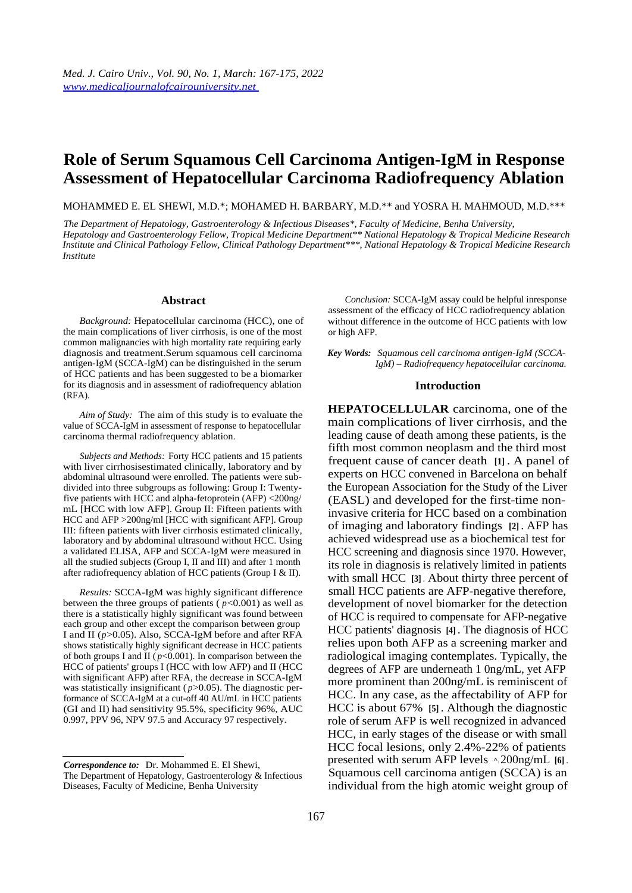# **Role of Serum Squamous Cell Carcinoma Antigen-IgM in Response Assessment of Hepatocellular Carcinoma Radiofrequency Ablation**

MOHAMMED E. EL SHEWI, M.D.\*; MOHAMED H. BARBARY, M.D.\*\* and YOSRA H. MAHMOUD, M.D.\*\*\*

*The Department of Hepatology, Gastroenterology & Infectious Diseases\*, Faculty of Medicine, Benha University, Hepatology and Gastroenterology Fellow, Tropical Medicine Department\*\* National Hepatology & Tropical Medicine Research Institute and Clinical Pathology Fellow, Clinical Pathology Department\*\*\*, National Hepatology & Tropical Medicine Research Institute* 

#### **Abstract**

*Background:* Hepatocellular carcinoma (HCC), one of the main complications of liver cirrhosis, is one of the most common malignancies with high mortality rate requiring early diagnosis and treatment.Serum squamous cell carcinoma antigen-IgM (SCCA-IgM) can be distinguished in the serum of HCC patients and has been suggested to be a biomarker for its diagnosis and in assessment of radiofrequency ablation (RFA).

*Aim of Study:* The aim of this study is to evaluate the value of SCCA-IgM in assessment of response to hepatocellular carcinoma thermal radiofrequency ablation.

*Subjects and Methods:* Forty HCC patients and 15 patients with liver cirrhosisestimated clinically, laboratory and by abdominal ultrasound were enrolled. The patients were subdivided into three subgroups as following: Group I: Twentyfive patients with HCC and alpha-fetoprotein (AFP) <200ng/ mL [HCC with low AFP]. Group II: Fifteen patients with HCC and AFP >200ng/ml [HCC with significant AFP]. Group III: fifteen patients with liver cirrhosis estimated clinically, laboratory and by abdominal ultrasound without HCC. Using a validated ELISA, AFP and SCCA-IgM were measured in all the studied subjects (Group I, II and III) and after 1 month after radiofrequency ablation of HCC patients (Group I & II).

*Results:* SCCA-IgM was highly significant difference between the three groups of patients ( $p < 0.001$ ) as well as there is a statistically highly significant was found between each group and other except the comparison between group I and II (*p*>0.05). Also, SCCA-IgM before and after RFA shows statistically highly significant decrease in HCC patients of both groups I and II ( $p$ <0.001). In comparison between the HCC of patients' groups I (HCC with low AFP) and II (HCC with significant AFP) after RFA, the decrease in SCCA-IgM was statistically insignificant ( $p$ >0.05). The diagnostic performance of SCCA-IgM at a cut-off 40 AU/mL in HCC patients (GI and II) had sensitivity 95.5%, specificity 96%, AUC 0.997, PPV 96, NPV 97.5 and Accuracy 97 respectively.

*Correspondence to:* Dr. Mohammed E. El Shewi,

The Department of Hepatology, Gastroenterology & Infectious Diseases, Faculty of Medicine, Benha University

*Conclusion:* SCCA-IgM assay could be helpful inresponse assessment of the efficacy of HCC radiofrequency ablation without difference in the outcome of HCC patients with low or high AFP.

*Key Words: Squamous cell carcinoma antigen-IgM (SCCA-IgM) – Radiofrequency hepatocellular carcinoma.* 

#### **Introduction**

**HEPATOCELLULAR** carcinoma, one of the main complications of liver cirrhosis, and the leading cause of death among these patients, is the fifth most common neoplasm and the third most frequent cause of cancer death **[1]** . A panel of experts on HCC convened in Barcelona on behalf the European Association for the Study of the Liver (EASL) and developed for the first-time noninvasive criteria for HCC based on a combination of imaging and laboratory findings **[2]** . AFP has achieved widespread use as a biochemical test for HCC screening and diagnosis since 1970. However, its role in diagnosis is relatively limited in patients with small HCC **[3]** . About thirty three percent of small HCC patients are AFP-negative therefore, development of novel biomarker for the detection of HCC is required to compensate for AFP-negative HCC patients' diagnosis **[4]** . The diagnosis of HCC relies upon both AFP as a screening marker and radiological imaging contemplates. Typically, the degrees of AFP are underneath 1 0ng/mL, yet AFP more prominent than 200ng/mL is reminiscent of HCC. In any case, as the affectability of AFP for HCC is about 67% **[5]** . Although the diagnostic role of serum AFP is well recognized in advanced HCC, in early stages of the disease or with small HCC focal lesions, only 2.4%-22% of patients presented with serum AFP levels ^! 200ng/mL **[6]** . Squamous cell carcinoma antigen (SCCA) is an individual from the high atomic weight group of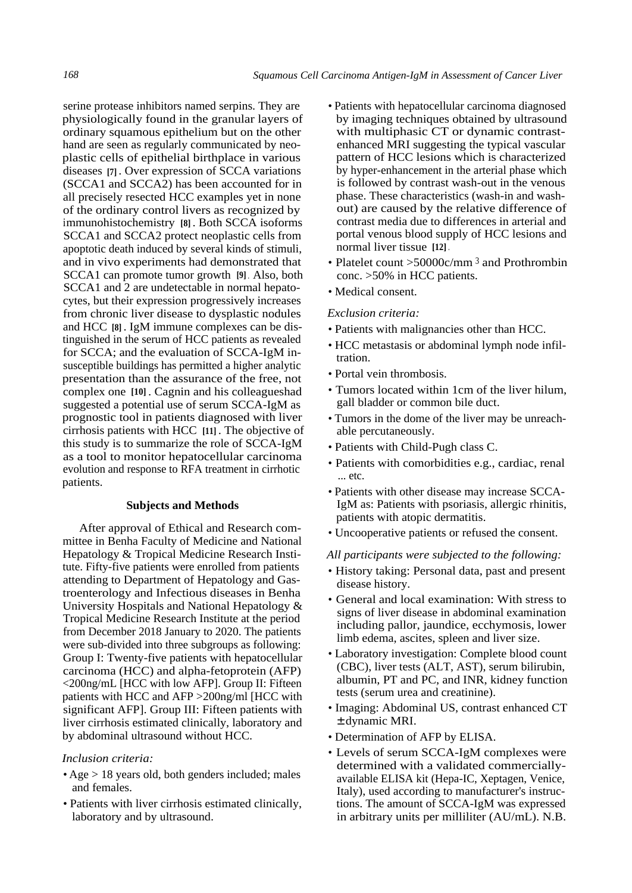serine protease inhibitors named serpins. They are physiologically found in the granular layers of ordinary squamous epithelium but on the other hand are seen as regularly communicated by neoplastic cells of epithelial birthplace in various diseases **[7]** . Over expression of SCCA variations (SCCA1 and SCCA2) has been accounted for in all precisely resected HCC examples yet in none of the ordinary control livers as recognized by immunohistochemistry **[8]** . Both SCCA isoforms SCCA1 and SCCA2 protect neoplastic cells from apoptotic death induced by several kinds of stimuli, and in vivo experiments had demonstrated that SCCA1 can promote tumor growth **[9]** . Also, both SCCA1 and 2 are undetectable in normal hepatocytes, but their expression progressively increases from chronic liver disease to dysplastic nodules and HCC **[8]** . IgM immune complexes can be distinguished in the serum of HCC patients as revealed for SCCA; and the evaluation of SCCA-IgM insusceptible buildings has permitted a higher analytic presentation than the assurance of the free, not complex one **[10]** . Cagnin and his colleagueshad suggested a potential use of serum SCCA-IgM as prognostic tool in patients diagnosed with liver cirrhosis patients with HCC **[11]** . The objective of this study is to summarize the role of SCCA-IgM as a tool to monitor hepatocellular carcinoma evolution and response to RFA treatment in cirrhotic patients.

## **Subjects and Methods**

After approval of Ethical and Research committee in Benha Faculty of Medicine and National Hepatology & Tropical Medicine Research Institute. Fifty-five patients were enrolled from patients attending to Department of Hepatology and Gastroenterology and Infectious diseases in Benha University Hospitals and National Hepatology & Tropical Medicine Research Institute at the period from December 2018 January to 2020. The patients were sub-divided into three subgroups as following: Group I: Twenty-five patients with hepatocellular carcinoma (HCC) and alpha-fetoprotein (AFP) <200ng/mL [HCC with low AFP]. Group II: Fifteen patients with HCC and AFP >200ng/ml [HCC with significant AFP]. Group III: Fifteen patients with liver cirrhosis estimated clinically, laboratory and by abdominal ultrasound without HCC.

### *Inclusion criteria:*

- Age > 18 years old, both genders included; males and females.
- Patients with liver cirrhosis estimated clinically, laboratory and by ultrasound.
- Patients with hepatocellular carcinoma diagnosed by imaging techniques obtained by ultrasound with multiphasic CT or dynamic contrastenhanced MRI suggesting the typical vascular pattern of HCC lesions which is characterized by hyper-enhancement in the arterial phase which is followed by contrast wash-out in the venous phase. These characteristics (wash-in and washout) are caused by the relative difference of contrast media due to differences in arterial and portal venous blood supply of HCC lesions and normal liver tissue **[12]** .
- Platelet count  $>50000c/\text{mm}^3$  and Prothrombin conc. >50% in HCC patients.
- Medical consent.

### *Exclusion criteria:*

- Patients with malignancies other than HCC.
- HCC metastasis or abdominal lymph node infiltration.
- Portal vein thrombosis.
- Tumors located within 1cm of the liver hilum, gall bladder or common bile duct.
- Tumors in the dome of the liver may be unreachable percutaneously.
- Patients with Child-Pugh class C.
- Patients with comorbidities e.g., cardiac, renal ... etc.
- Patients with other disease may increase SCCA-IgM as: Patients with psoriasis, allergic rhinitis, patients with atopic dermatitis.
- Uncooperative patients or refused the consent.

*All participants were subjected to the following:* 

- History taking: Personal data, past and present disease history.
- General and local examination: With stress to signs of liver disease in abdominal examination including pallor, jaundice, ecchymosis, lower limb edema, ascites, spleen and liver size.
- Laboratory investigation: Complete blood count (CBC), liver tests (ALT, AST), serum bilirubin, albumin, PT and PC, and INR, kidney function tests (serum urea and creatinine).
- Imaging: Abdominal US, contrast enhanced CT ± dynamic MRI.
- Determination of AFP by ELISA.
- Levels of serum SCCA-IgM complexes were determined with a validated commerciallyavailable ELISA kit (Hepa-IC, Xeptagen, Venice, Italy), used according to manufacturer's instructions. The amount of SCCA-IgM was expressed in arbitrary units per milliliter (AU/mL). N.B.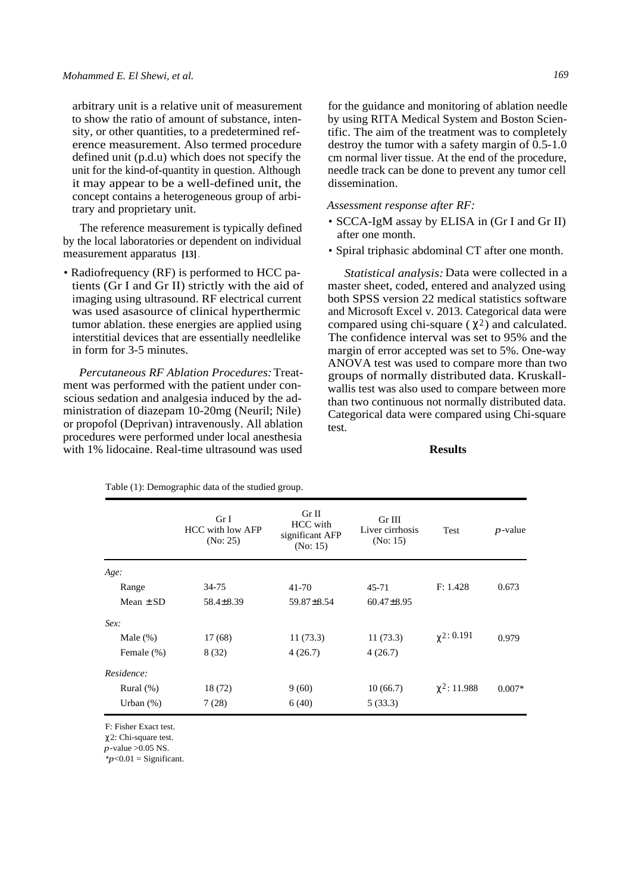arbitrary unit is a relative unit of measurement to show the ratio of amount of substance, intensity, or other quantities, to a predetermined reference measurement. Also termed procedure defined unit (p.d.u) which does not specify the unit for the kind-of-quantity in question. Although it may appear to be a well-defined unit, the concept contains a heterogeneous group of arbitrary and proprietary unit.

The reference measurement is typically defined by the local laboratories or dependent on individual measurement apparatus **[13]** .

• Radiofrequency (RF) is performed to HCC patients (Gr I and Gr II) strictly with the aid of imaging using ultrasound. RF electrical current was used asasource of clinical hyperthermic tumor ablation. these energies are applied using interstitial devices that are essentially needlelike in form for 3-5 minutes.

*Percutaneous RF Ablation Procedures:* Treatment was performed with the patient under conscious sedation and analgesia induced by the administration of diazepam 10-20mg (Neuril; Nile) or propofol (Deprivan) intravenously. All ablation procedures were performed under local anesthesia with 1% lidocaine. Real-time ultrasound was used

for the guidance and monitoring of ablation needle by using RITA Medical System and Boston Scientific. The aim of the treatment was to completely destroy the tumor with a safety margin of 0.5-1.0 cm normal liver tissue. At the end of the procedure, needle track can be done to prevent any tumor cell dissemination.

#### *Assessment response after RF:*

- SCCA-IgM assay by ELISA in (Gr I and Gr II) after one month.
- Spiral triphasic abdominal CT after one month.

*Statistical analysis:* Data were collected in a master sheet, coded, entered and analyzed using both SPSS version 22 medical statistics software and Microsoft Excel v. 2013. Categorical data were compared using chi-square ( $\chi^2$ ) and calculated. The confidence interval was set to 95% and the margin of error accepted was set to 5%. One-way ANOVA test was used to compare more than two groups of normally distributed data. Kruskallwallis test was also used to compare between more than two continuous not normally distributed data. Categorical data were compared using Chi-square test.

## **Results**

|               | Gr I<br>HCC with low AFP<br>(No: 25) | Gr II<br><b>HCC</b> with<br>significant AFP<br>(No: 15) | Gr III<br>Liver cirrhosis<br>(No: 15) | Test              | $p$ -value |
|---------------|--------------------------------------|---------------------------------------------------------|---------------------------------------|-------------------|------------|
| Age:          |                                      |                                                         |                                       |                   |            |
| Range         | 34-75                                | 41-70                                                   | 45-71                                 | F: 1.428          | 0.673      |
| Mean $\pm$ SD | $58.4 \pm 8.39$                      | 59.87±8.54                                              | $60.47 \pm 8.95$                      |                   |            |
| Sex:          |                                      |                                                         |                                       |                   |            |
| Male $(\%)$   | 17(68)                               | 11(73.3)                                                | 11(73.3)                              | $\gamma$ 2: 0.191 | 0.979      |
| Female (%)    | 8 (32)                               | 4(26.7)                                                 | 4(26.7)                               |                   |            |
| Residence:    |                                      |                                                         |                                       |                   |            |
| Rural $(\%)$  | 18(72)                               | 9(60)                                                   | 10(66.7)                              | $\chi^2$ : 11.988 | $0.007*$   |
| Urban $(\%)$  | 7(28)                                | 6(40)                                                   | 5(33.3)                               |                   |            |

Table (1): Demographic data of the studied group.

F: Fisher Exact test.

χ 2: Chi-square test.

*p*-value >0.05 NS.

 $*_{p<0.01}$  = Significant.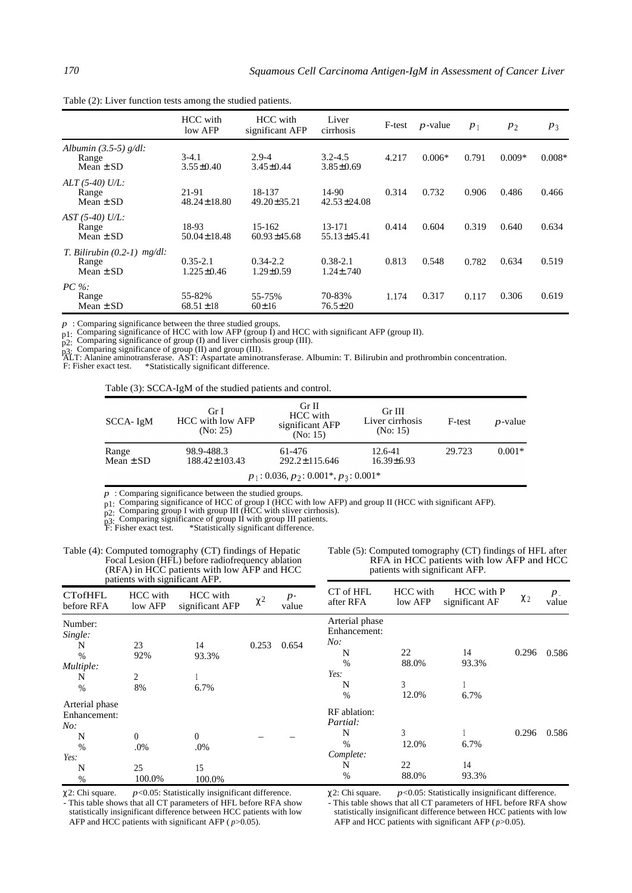|                                                         | HCC with<br>low AFP              | HCC with<br>significant AFP  | Liver<br>cirrhosis              | F-test | $p$ -value | $p_1$ | $p_2$    | $P_3$    |
|---------------------------------------------------------|----------------------------------|------------------------------|---------------------------------|--------|------------|-------|----------|----------|
| Albumin $(3.5-5)$ g/dl:<br>Range<br>Mean $\pm$ SD       | $3-4.1$<br>$3.55 \pm 0.40$       | $2.9 - 4$<br>$3.45 \pm 0.44$ | $3.2 - 4.5$<br>$3.85 \pm 0.69$  | 4.217  | $0.006*$   | 0.791 | $0.009*$ | $0.008*$ |
| $ALT (5-40) U/L$ :<br>Range<br>Mean $\pm$ SD            | 21-91<br>$48.24 \pm 18.80$       | 18-137<br>$49.20 \pm 35.21$  | 14-90<br>$42.53 \pm 24.08$      | 0.314  | 0.732      | 0.906 | 0.486    | 0.466    |
| $AST (5-40) U/L:$<br>Range<br>Mean $\pm$ SD             | 18-93<br>$50.04 \pm 18.48$       | 15-162<br>$60.93 \pm 45.68$  | 13-171<br>$55.13 \pm 45.41$     | 0.414  | 0.604      | 0.319 | 0.640    | 0.634    |
| T. Bilirubin $(0.2-1)$ mg/dl:<br>Range<br>Mean $\pm$ SD | $0.35 - 2.1$<br>$1.225 \pm 0.46$ | $0.34 - 2.2$<br>1.29±0.59    | $0.38 - 2.1$<br>$1.24 \pm .740$ | 0.813  | 0.548      | 0.782 | 0.634    | 0.519    |
| $PC\%$<br>Range<br>Mean $\pm$ SD                        | 55-82%<br>$68.51 \pm 18$         | 55-75%<br>$60 \pm 16$        | 70-83%<br>$76.5 \pm 20$         | 1.174  | 0.317      | 0.117 | 0.306    | 0.619    |

Table (2): Liver function tests among the studied patients.

*p* : Comparing significance between the three studied groups.

p<sub>1</sub>: Comparing significance of HCC with low AFP (group  $\hat{I}$ ) and HCC with significant AFP (group II).<br>p<sub>2</sub>: Comparing significance of group (I) and liver cirrhosis group (III).<br>p3: Comparing significance of group (II)

F: Fisher exact test. \*Statistically significant difference.

Table (3): SCCA-IgM of the studied patients and control.

| SCCA- IgM              | Gr I<br>HCC with low AFP<br>(No: 25) | Gr II<br>HCC with<br>significant AFP<br>(No: 15) | Gr III<br>Liver cirrhosis<br>(No: 15) | F-test | $p$ -value |
|------------------------|--------------------------------------|--------------------------------------------------|---------------------------------------|--------|------------|
| Range<br>Mean $\pm$ SD | 98.9-488.3<br>$188.42 \pm 103.43$    | 61-476<br>$292.2 \pm 115.646$                    | 12.6-41<br>$16.39 \pm 6.93$           | 29.723 | $0.001*$   |
|                        |                                      | $p_1$ : 0.036, $p_2$ : 0.001*, $p_3$ : 0.001*    |                                       |        |            |

*p* : Comparing significance between the studied groups.

p<sub>1</sub>: Comparing significance of HCC of group I (HCC with low AFP) and group II (HCC with significant AFP).<br>p<sub>2</sub>: Comparing group I with group III (HCC with sliver cirrhosis).<br>p<sub>3:</sub> Comparing significance of group II with

p3: Comparing significant of grams.<br>F: Fisher exact test. \*Statistically significant difference.

| Table (4): Computed tomography (CT) findings of Hepatic |
|---------------------------------------------------------|
| Focal Lesion (HFL) before radiofrequency ablation       |
| (RFA) in HCC patients with low AFP and HCC              |
| patients with significant AFP.                          |

Table (5): Computed tomography (CT) findings of HFL after RFA in HCC patients with low AFP and HCC patients with significant AFP.

| patients with significant AFP.                                    |                                 |                                 |          |               |                                                                      |                                    |                              |          |                  |
|-------------------------------------------------------------------|---------------------------------|---------------------------------|----------|---------------|----------------------------------------------------------------------|------------------------------------|------------------------------|----------|------------------|
| <b>CTofHFL</b><br>before RFA                                      | HCC with<br>low AFP             | HCC with<br>significant AFP     | $\chi^2$ | $p-$<br>value | CT of HFL<br>after RFA                                               | HCC with<br>low AFP                | HCC with P<br>significant AF | $\chi_2$ | $P_{-}$<br>value |
| Number:<br>Single:<br>N<br>%<br>Multiple:<br>N<br>$\%$            | 23<br>92%<br>2<br>8%            | 14<br>93.3%<br>6.7%             | 0.253    | 0.654         | Arterial phase<br>Enhancement:<br>No.<br>N<br>$\%$<br>Yes:<br>N      | 22<br>88.0%<br>3                   | 14<br>93.3%                  | 0.296    | 0.586            |
| Arterial phase<br>Enhancement:<br>No:<br>N<br>%<br>Yes:<br>N<br>% | $\Omega$<br>.0%<br>25<br>100.0% | $\theta$<br>.0%<br>15<br>100.0% |          |               | $\%$<br>RF ablation:<br>Partial:<br>N<br>$\%$<br>Complete:<br>N<br>% | 12.0%<br>3<br>12.0%<br>22<br>88.0% | 6.7%<br>6.7%<br>14<br>93.3%  | 0.296    | 0.586            |

χ 2: Chi square. *p*<0.05: Statistically insignificant difference.

- This table shows that all CT parameters of HFL before RFA show statistically insignificant difference between HCC patients with low AFP and HCC patients with significant AFP ( *p*>0.05).

χ 2: Chi square. *p*<0.05: Statistically insignificant difference.

- This table shows that all CT parameters of HFL before RFA show statistically insignificant difference between HCC patients with low AFP and HCC patients with significant AFP  $(p>0.05)$ .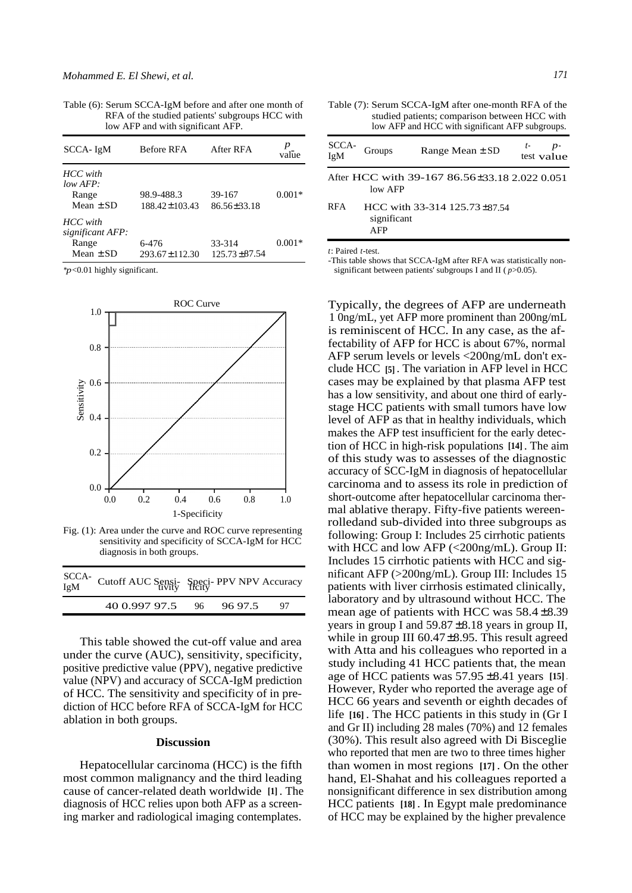Table (6): Serum SCCA-IgM before and after one month of RFA of the studied patients' subgroups HCC with low AFP and with significant AFP.

| $SCCA- IgM$                                            | <b>Before RFA</b>            | After RFA                    | value    |
|--------------------------------------------------------|------------------------------|------------------------------|----------|
| HCC with<br>$low$ AFP:<br>Range<br>Mean $\pm$ SD       | 98.9-488.3<br>188.42±103.43  | 39-167<br>$86.56 \pm 33.18$  | $0.001*$ |
| HCC with<br>significant AFP:<br>Range<br>Mean $\pm$ SD | 6-476<br>$293.67 \pm 112.30$ | 33-314<br>$125.73 \pm 87.54$ | $0.001*$ |

\**p*<0.01 highly significant.



Fig. (1): Area under the curve and ROC curve representing sensitivity and specificity of SCCA-IgM for HCC diagnosis in both groups.

| SCCA-<br>IgM Cutoff AUC Sensi-<br>Speci- PPV NPV Accuracy<br>IgM |         |  |  |
|------------------------------------------------------------------|---------|--|--|
| 40 0.997 97.5 96                                                 | 96 97.5 |  |  |

This table showed the cut-off value and area under the curve (AUC), sensitivity, specificity, positive predictive value (PPV), negative predictive value (NPV) and accuracy of SCCA-IgM prediction of HCC. The sensitivity and specificity of in prediction of HCC before RFA of SCCA-IgM for HCC ablation in both groups.

#### **Discussion**

Hepatocellular carcinoma (HCC) is the fifth most common malignancy and the third leading cause of cancer-related death worldwide **[1]** . The diagnosis of HCC relies upon both AFP as a screening marker and radiological imaging contemplates.

Table (7): Serum SCCA-IgM after one-month RFA of the studied patients; comparison between HCC with low AFP and HCC with significant AFP subgroups.

| SCCA-<br>IgM | Groups                    | Range Mean $\pm$ SD                           | t-<br>test value |
|--------------|---------------------------|-----------------------------------------------|------------------|
|              | low AFP                   | After HCC with 39-167 86.56±33.18 2.022 0.051 |                  |
| RFA          | significant<br><b>AFP</b> | HCC with 33-314 125.73 $\pm$ 87.54            |                  |

*t*: Paired *t*-test.

-This table shows that SCCA-IgM after RFA was statistically nonsignificant between patients' subgroups I and II ( *p*>0.05).

Typically, the degrees of AFP are underneath 1 0ng/mL, yet AFP more prominent than 200ng/mL is reminiscent of HCC. In any case, as the affectability of AFP for HCC is about 67%, normal AFP serum levels or levels <200ng/mL don't exclude HCC **[5]** . The variation in AFP level in HCC cases may be explained by that plasma AFP test has a low sensitivity, and about one third of earlystage HCC patients with small tumors have low level of AFP as that in healthy individuals, which makes the AFP test insufficient for the early detection of HCC in high-risk populations **[14]** . The aim of this study was to assesses of the diagnostic accuracy of SCC-IgM in diagnosis of hepatocellular carcinoma and to assess its role in prediction of short-outcome after hepatocellular carcinoma thermal ablative therapy. Fifty-five patients wereenrolledand sub-divided into three subgroups as following: Group I: Includes 25 cirrhotic patients with HCC and low AFP (<200ng/mL). Group II: Includes 15 cirrhotic patients with HCC and significant AFP (>200ng/mL). Group III: Includes 15 patients with liver cirrhosis estimated clinically, laboratory and by ultrasound without HCC. The mean age of patients with HCC was  $58.4 \pm 8.39$ years in group I and  $59.87 \pm 8.18$  years in group II, while in group III 60.47±8.95. This result agreed with Atta and his colleagues who reported in a study including 41 HCC patients that, the mean age of HCC patients was 57.95 ±8.41 years **[15]** . However, Ryder who reported the average age of HCC 66 years and seventh or eighth decades of life **[16]** . The HCC patients in this study in (Gr I and Gr II) including 28 males (70%) and 12 females (30%). This result also agreed with Di Bisceglie who reported that men are two to three times higher than women in most regions **[17]** . On the other hand, El-Shahat and his colleagues reported a nonsignificant difference in sex distribution among HCC patients **[18]** . In Egypt male predominance of HCC may be explained by the higher prevalence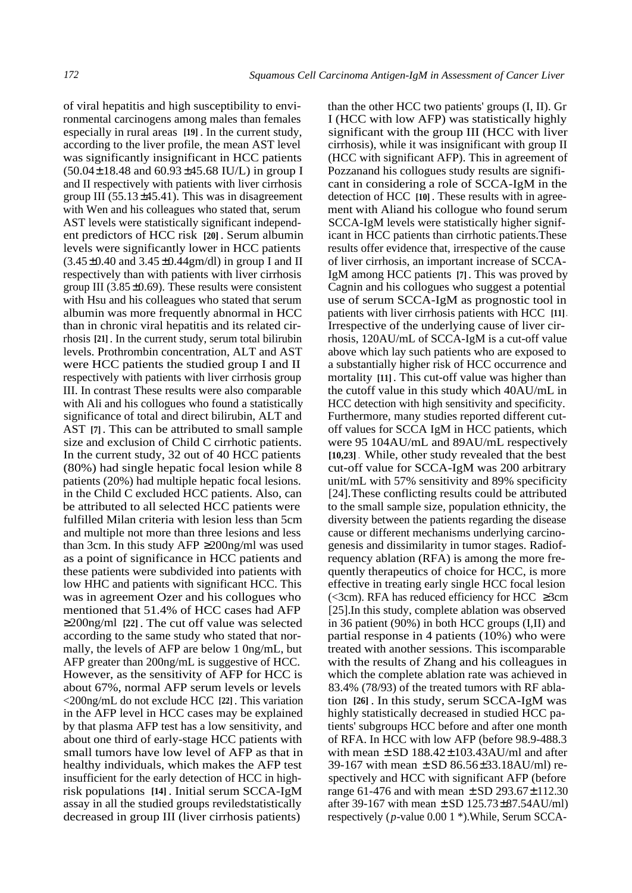of viral hepatitis and high susceptibility to environmental carcinogens among males than females especially in rural areas **[19]** . In the current study, according to the liver profile, the mean AST level was significantly insignificant in HCC patients  $(50.04 \pm 18.48$  and  $60.93 \pm 45.68$  IU/L) in group I and II respectively with patients with liver cirrhosis group III (55.13 $\pm$ 45.41). This was in disagreement with Wen and his colleagues who stated that, serum AST levels were statistically significant independent predictors of HCC risk **[20]** . Serum albumin levels were significantly lower in HCC patients  $(3.45\pm0.40$  and  $3.45\pm0.44$ gm/dl) in group I and II respectively than with patients with liver cirrhosis group III (3.85 $\pm$ 0.69). These results were consistent with Hsu and his colleagues who stated that serum albumin was more frequently abnormal in HCC than in chronic viral hepatitis and its related cirrhosis **[21]** . In the current study, serum total bilirubin levels. Prothrombin concentration, ALT and AST were HCC patients the studied group I and II respectively with patients with liver cirrhosis group III. In contrast These results were also comparable with Ali and his collogues who found a statistically significance of total and direct bilirubin, ALT and AST **[7]** . This can be attributed to small sample size and exclusion of Child C cirrhotic patients. In the current study, 32 out of 40 HCC patients (80%) had single hepatic focal lesion while 8 patients (20%) had multiple hepatic focal lesions. in the Child C excluded HCC patients. Also, can be attributed to all selected HCC patients were fulfilled Milan criteria with lesion less than 5cm and multiple not more than three lesions and less than 3cm. In this study AFP  $\geq$ 200ng/ml was used as a point of significance in HCC patients and these patients were subdivided into patients with low HHC and patients with significant HCC. This was in agreement Ozer and his collogues who mentioned that 51.4% of HCC cases had AFP ≥200ng/ml **[22]** . The cut off value was selected according to the same study who stated that normally, the levels of AFP are below 1 0ng/mL, but AFP greater than 200ng/mL is suggestive of HCC. However, as the sensitivity of AFP for HCC is about 67%, normal AFP serum levels or levels <200ng/mL do not exclude HCC **[22]** . This variation in the AFP level in HCC cases may be explained by that plasma AFP test has a low sensitivity, and about one third of early-stage HCC patients with small tumors have low level of AFP as that in healthy individuals, which makes the AFP test insufficient for the early detection of HCC in highrisk populations **[14]** . Initial serum SCCA-IgM assay in all the studied groups reviledstatistically decreased in group III (liver cirrhosis patients)

than the other HCC two patients' groups (I, II). Gr I (HCC with low AFP) was statistically highly significant with the group III (HCC with liver cirrhosis), while it was insignificant with group II (HCC with significant AFP). This in agreement of Pozzanand his collogues study results are significant in considering a role of SCCA-IgM in the detection of HCC **[10]** . These results with in agreement with Aliand his collogue who found serum SCCA-IgM levels were statistically higher significant in HCC patients than cirrhotic patients.These results offer evidence that, irrespective of the cause of liver cirrhosis, an important increase of SCCA-IgM among HCC patients **[7]** . This was proved by Cagnin and his collogues who suggest a potential use of serum SCCA-IgM as prognostic tool in patients with liver cirrhosis patients with HCC **[11]** . Irrespective of the underlying cause of liver cirrhosis, 120AU/mL of SCCA-IgM is a cut-off value above which lay such patients who are exposed to a substantially higher risk of HCC occurrence and mortality **[11]** . This cut-off value was higher than the cutoff value in this study which 40AU/mL in HCC detection with high sensitivity and specificity. Furthermore, many studies reported different cutoff values for SCCA IgM in HCC patients, which were 95 104AU/mL and 89AU/mL respectively **[10,23]** . While, other study revealed that the best cut-off value for SCCA-IgM was 200 arbitrary unit/mL with 57% sensitivity and 89% specificity [24].These conflicting results could be attributed to the small sample size, population ethnicity, the diversity between the patients regarding the disease cause or different mechanisms underlying carcinogenesis and dissimilarity in tumor stages. Radiofrequency ablation (RFA) is among the more frequently therapeutics of choice for HCC, is more effective in treating early single HCC focal lesion  $\leq$ 3cm). RFA has reduced efficiency for HCC ≥3cm [25].In this study, complete ablation was observed in 36 patient (90%) in both HCC groups (I,II) and partial response in 4 patients (10%) who were treated with another sessions. This iscomparable with the results of Zhang and his colleagues in which the complete ablation rate was achieved in 83.4% (78/93) of the treated tumors with RF ablation **[26]** . In this study, serum SCCA-IgM was highly statistically decreased in studied HCC patients' subgroups HCC before and after one month of RFA. In HCC with low AFP (before 98.9-488.3 with mean  $\pm$  SD 188.42 $\pm$ 103.43AU/ml and after 39-167 with mean  $\pm$  SD 86.56 $\pm$ 33.18AU/ml) respectively and HCC with significant AFP (before range 61-476 and with mean  $\pm$  SD 293.67 $\pm$ 112.30 after 39-167 with mean  $\pm$  SD 125.73 $\pm$ 87.54AU/ml) respectively (*p*-value 0.00 1 \*).While, Serum SCCA-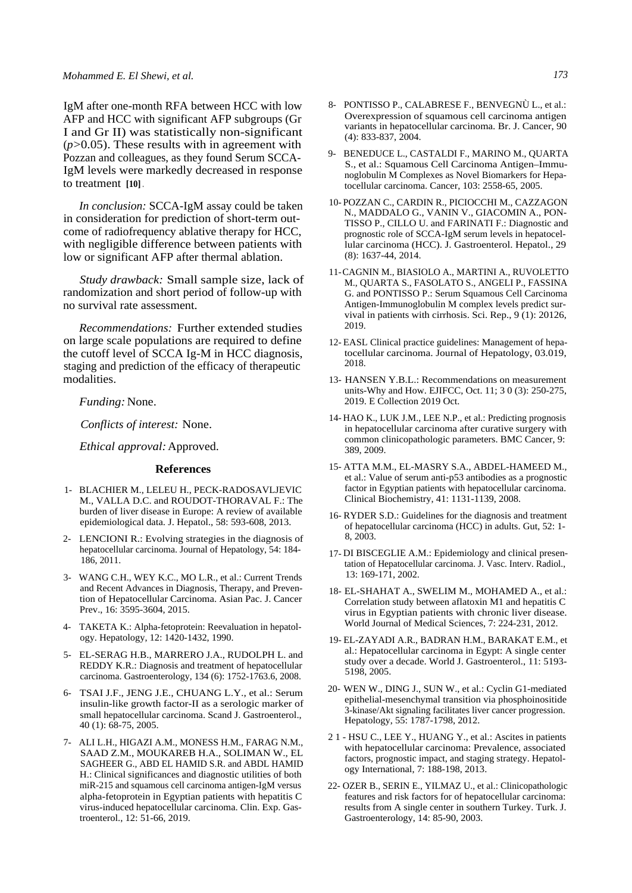IgM after one-month RFA between HCC with low AFP and HCC with significant AFP subgroups (Gr I and Gr II) was statistically non-significant (*p*>0.05). These results with in agreement with Pozzan and colleagues, as they found Serum SCCA-IgM levels were markedly decreased in response to treatment **[10]** .

*In conclusion:* SCCA-IgM assay could be taken in consideration for prediction of short-term outcome of radiofrequency ablative therapy for HCC, with negligible difference between patients with low or significant AFP after thermal ablation.

*Study drawback:* Small sample size, lack of randomization and short period of follow-up with no survival rate assessment.

*Recommendations:* Further extended studies on large scale populations are required to define the cutoff level of SCCA Ig-M in HCC diagnosis, staging and prediction of the efficacy of therapeutic modalities.

*Funding:* None.

*Conflicts of interest:* None.

*Ethical approval:* Approved.

#### **References**

- 1- BLACHIER M., LELEU H., PECK-RADOSAVLJEVIC M., VALLA D.C. and ROUDOT-THORAVAL F.: The burden of liver disease in Europe: A review of available epidemiological data. J. Hepatol., 58: 593-608, 2013.
- 2- LENCIONI R.: Evolving strategies in the diagnosis of hepatocellular carcinoma. Journal of Hepatology, 54: 184- 186, 2011.
- 3- WANG C.H., WEY K.C., MO L.R., et al.: Current Trends and Recent Advances in Diagnosis, Therapy, and Prevention of Hepatocellular Carcinoma. Asian Pac. J. Cancer Prev., 16: 3595-3604, 2015.
- 4- TAKETA K.: Alpha-fetoprotein: Reevaluation in hepatology. Hepatology, 12: 1420-1432, 1990.
- 5- EL-SERAG H.B., MARRERO J.A., RUDOLPH L. and REDDY K.R.: Diagnosis and treatment of hepatocellular carcinoma. Gastroenterology, 134 (6): 1752-1763.6, 2008.
- 6- TSAI J.F., JENG J.E., CHUANG L.Y., et al.: Serum insulin-like growth factor-II as a serologic marker of small hepatocellular carcinoma. Scand J. Gastroenterol., 40 (1): 68-75, 2005.
- 7- ALI L.H., HIGAZI A.M., MONESS H.M., FARAG N.M., SAAD Z.M., MOUKAREB H.A., SOLIMAN W., EL SAGHEER G., ABD EL HAMID S.R. and ABDL HAMID H.: Clinical significances and diagnostic utilities of both miR-215 and squamous cell carcinoma antigen-IgM versus alpha-fetoprotein in Egyptian patients with hepatitis C virus-induced hepatocellular carcinoma. Clin. Exp. Gastroenterol., 12: 51-66, 2019.
- 8- PONTISSO P., CALABRESE F., BENVEGNÙ L., et al.: Overexpression of squamous cell carcinoma antigen variants in hepatocellular carcinoma. Br. J. Cancer, 90
- 9- BENEDUCE L., CASTALDI F., MARINO M., QUARTA S., et al.: Squamous Cell Carcinoma Antigen–Immunoglobulin M Complexes as Novel Biomarkers for Hepatocellular carcinoma. Cancer, 103: 2558-65, 2005.

(4): 833-837, 2004.

- 10- POZZAN C., CARDIN R., PICIOCCHI M., CAZZAGON N., MADDALO G., VANIN V., GIACOMIN A., PON-TISSO P., CILLO U. and FARINATI F.: Diagnostic and prognostic role of SCCA-IgM serum levels in hepatocellular carcinoma (HCC). J. Gastroenterol. Hepatol., 29 (8): 1637-44, 2014.
- 11-CAGNIN M., BIASIOLO A., MARTINI A., RUVOLETTO M., QUARTA S., FASOLATO S., ANGELI P., FASSINA G. and PONTISSO P.: Serum Squamous Cell Carcinoma Antigen-Immunoglobulin M complex levels predict survival in patients with cirrhosis. Sci. Rep., 9 (1): 20126, 2019.
- 12- EASL Clinical practice guidelines: Management of hepatocellular carcinoma. Journal of Hepatology, 03.019, 2018.
- 13- HANSEN Y.B.L.: Recommendations on measurement units-Why and How. EJIFCC, Oct. 11; 3 0 (3): 250-275, 2019. E Collection 2019 Oct.
- 14- HAO K., LUK J.M., LEE N.P., et al.: Predicting prognosis in hepatocellular carcinoma after curative surgery with common clinicopathologic parameters. BMC Cancer, 9: 389, 2009.
- 15- ATTA M.M., EL-MASRY S.A., ABDEL-HAMEED M., et al.: Value of serum anti-p53 antibodies as a prognostic factor in Egyptian patients with hepatocellular carcinoma. Clinical Biochemistry, 41: 1131-1139, 2008.
- 16- RYDER S.D.: Guidelines for the diagnosis and treatment of hepatocellular carcinoma (HCC) in adults. Gut, 52: 1- 8, 2003.
- 17- DI BISCEGLIE A.M.: Epidemiology and clinical presentation of Hepatocellular carcinoma. J. Vasc. Interv. Radiol., 13: 169-171, 2002.
- 18- EL-SHAHAT A., SWELIM M., MOHAMED A., et al.: Correlation study between aflatoxin M1 and hepatitis C virus in Egyptian patients with chronic liver disease. World Journal of Medical Sciences, 7: 224-231, 2012.
- 19- EL-ZAYADI A.R., BADRAN H.M., BARAKAT E.M., et al.: Hepatocellular carcinoma in Egypt: A single center study over a decade. World J. Gastroenterol., 11: 5193- 5198, 2005.
- 20- WEN W., DING J., SUN W., et al.: Cyclin G1-mediated epithelial-mesenchymal transition via phosphoinositide 3-kinase/Akt signaling facilitates liver cancer progression. Hepatology, 55: 1787-1798, 2012.
- 2 1 HSU C., LEE Y., HUANG Y., et al.: Ascites in patients with hepatocellular carcinoma: Prevalence, associated factors, prognostic impact, and staging strategy. Hepatology International, 7: 188-198, 2013.
- 22- OZER B., SERIN E., YILMAZ U., et al.: Clinicopathologic features and risk factors for of hepatocellular carcinoma: results from A single center in southern Turkey. Turk. J. Gastroenterology, 14: 85-90, 2003.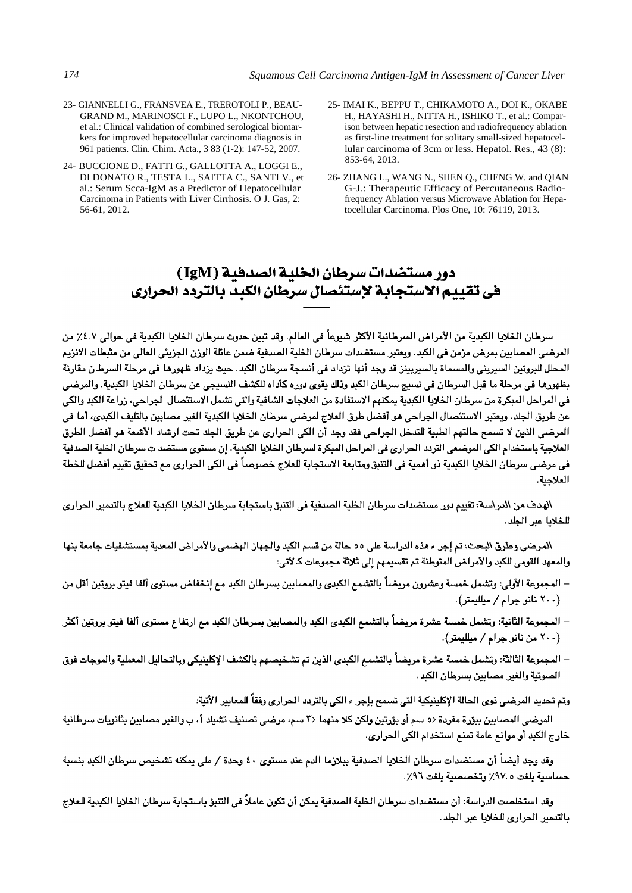- 23- GIANNELLI G., FRANSVEA E., TREROTOLI P., BEAU-GRAND M., MARINOSCI F., LUPO L., NKONTCHOU, et al.: Clinical validation of combined serological biomarkers for improved hepatocellular carcinoma diagnosis in 961 patients. Clin. Chim. Acta., 3 83 (1-2): 147-52, 2007.
- 24- BUCCIONE D., FATTI G., GALLOTTA A., LOGGI E., DI DONATO R., TESTA L., SAITTA C., SANTI V., et al.: Serum Scca-IgM as a Predictor of Hepatocellular Carcinoma in Patients with Liver Cirrhosis. O J. Gas, 2: 56-61, 2012.
- 25- IMAI K., BEPPU T., CHIKAMOTO A., DOI K., OKABE H., HAYASHI H., NITTA H., ISHIKO T., et al.: Comparison between hepatic resection and radiofrequency ablation as first-line treatment for solitary small-sized hepatocellular carcinoma of 3cm or less. Hepatol. Res., 43 (8): 853-64, 2013.
- 26- ZHANG L., WANG N., SHEN Q., CHENG W. and QIAN G-J.: Therapeutic Efficacy of Percutaneous Radiofrequency Ablation versus Microwave Ablation for Hepatocellular Carcinoma. Plos One, 10: 76119, 2013.

# دور مستضدات سرطان الخلية الصدفية (IgM) في تقييم الاستجابة لإستئصال سرطان الكيد بالتردد الحراري

سرطان الخلايا الكبدية من الأمراض السرطانية الأكثر شيوعاً في العالم. وقد تبين حدوث سرطان الخلايا الكبدية في حوالي ٤.٧٪ من المرضى المصابين بمرض مزمن في الكبد. ويعتبر مستضدات سرطان الخلية الصدفية ضمن عائلة الوزن الجزيئي العالي من مثبطات الانزيم المحلل للبروتين السيريني والمسماة بالسيربينز قد وجد أنها تزداد في أنسجة سرطان الكبد. حيث يزداد ظهورها في مرحلة السرطان مقارنة بظهورها في مرحلة ما قبل السرطان في نسيج سرطان الكبد وذلك يقوى دوره كأداه للكشف النسيجي عن سرطان الخلايا الكبدية. والمرضى في المراحل المبكرة من سرطان الخلايا الكبدية يمكنهم الاستفادة من العلاجات الشافية والتي تشمل الاستئصال الجراحي، زراعة الكبد والكي عن طريق الجلد. ويعتبر الاستئصال الجراحي هو أفضل طرق العلاج لمرضى سرطان الخلايا الكبدية الغير مصابين بالتليف الكبدى، أما في المرضى الذين لا تسمح حالتهم الطبية للتدخل الجراحي فقد وجد أن الكي الحراري عن طريق الجلد تحت ارشاد الأشعة هو أفضل الطرق العلاجية باستخدام الكي الموضعي التردد الحراري في المراحل المبكرة لسرطان الخلايا الكبدية. إن مستوى مستضدات سرطان الخلية الصدفية في مرضى سرطان الخلايا الكبدية ذو أهمية في التنبؤ ومتابعة الاستجابة للعلاج خصوصاً في الكي الحراري مم تحقيق تقييم أفضل للخطة العلاجية.

الهدف من الدراسة: تقييم دور مستضدات سرطان الخلية الصدفية في التنبؤ باستجابة سرطان الخلايا الكبدية للعلاج بالتدمير الحراري للخلايا عبر الجلد.

المرضى وطرق البحث: تم إجراء هذه الدراسة على ٥٥ حالة من قسم الكبد والجهاز الهضمي والأمراض المعدية بمستشفيات جامعة بنها والمعهد القومي للكبد والأمراض المتوطنة تم تقسيمهم إلى ثلاثة مجموعات كالأتي:

- المجموعة الأولى: وتشمل خمسة وعشرون مريضاً بالتشمع الكبدى والمصابين بسرطان الكبد مع إنخفاض مستوى ألفا فيتو بروتين أقل من (۲۰۰ نانو جرام / میللیمتر).
- المجموعة الثانية: وتشمل خمسة عشرة مريضاً بالتشمع الكبدى الكبد والمصابين بسرطان الكبد مع ارتفاع مستوى ألفا فيتو بروتين أكثر (٢٠٠ من نانو جرام / ميلليمتر).
- المجموعة الثالثة: وتشمل خمسة عشرة مريضاً بالتشمع الكبدى الذين تم تشخيصهم بالكشف الإكلينيكي وبالتحاليل المعملية والموجات فوق الصوتية والغير مصابين بسرطان الكبد.

وتم تحديد المرضى ذوى الحالة الإكلينيكية التي تسمح بإجراء الكي بالتردد الحراري وفقاً للمعايير الأتية:

المرضى المصابين ببؤرة مفردة <٥ سم أو بؤرتين ولكن كلا منهما <٣ سم، مرضى تصنيف تشيك أ، ب والغير مصابين بثانويات سرطانية خارج الكبد أو موانع عامة تمنع استخدام الكي الحراري.

وقد وجد أيضاً أن مستضدات سرطان الخلايا الصدفية ببلازما الدم عند مستوى ٤٠ وحدة / ملي يمكنه تشخيص سرطان الكبد بنسبة حساسية بلغت ٩٧.٥٪ وتخصصية بلغت ٩٦٪.

وقد استخلصت الدراسة: أن مستضدات سرطان الخلية الصدفية يمكن أن تكون عاملاً في التنبؤ باستجابة سرطان الخلايا الكبدية للعلاج بالتدمير الحرارى للخلايا عبر الجلد.